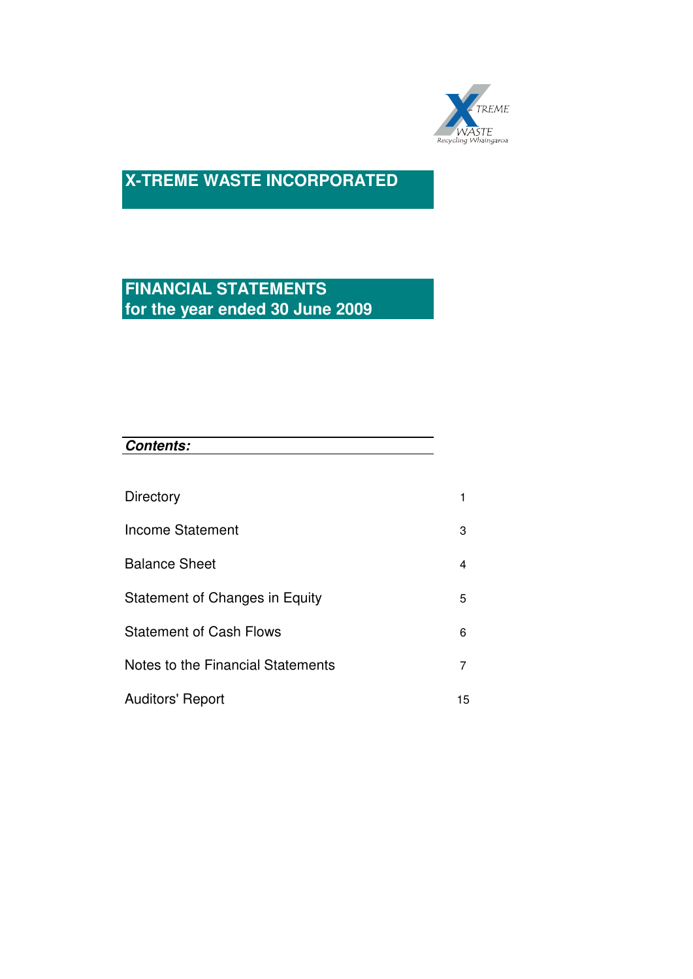

# **FINANCIAL STATEMENTS for the year ended 30 June 2009**

| Directory                         |    |
|-----------------------------------|----|
| Income Statement                  | 3  |
| <b>Balance Sheet</b>              | 4  |
| Statement of Changes in Equity    | 5  |
| <b>Statement of Cash Flows</b>    | 6  |
| Notes to the Financial Statements | 7  |
| <b>Auditors' Report</b>           | 15 |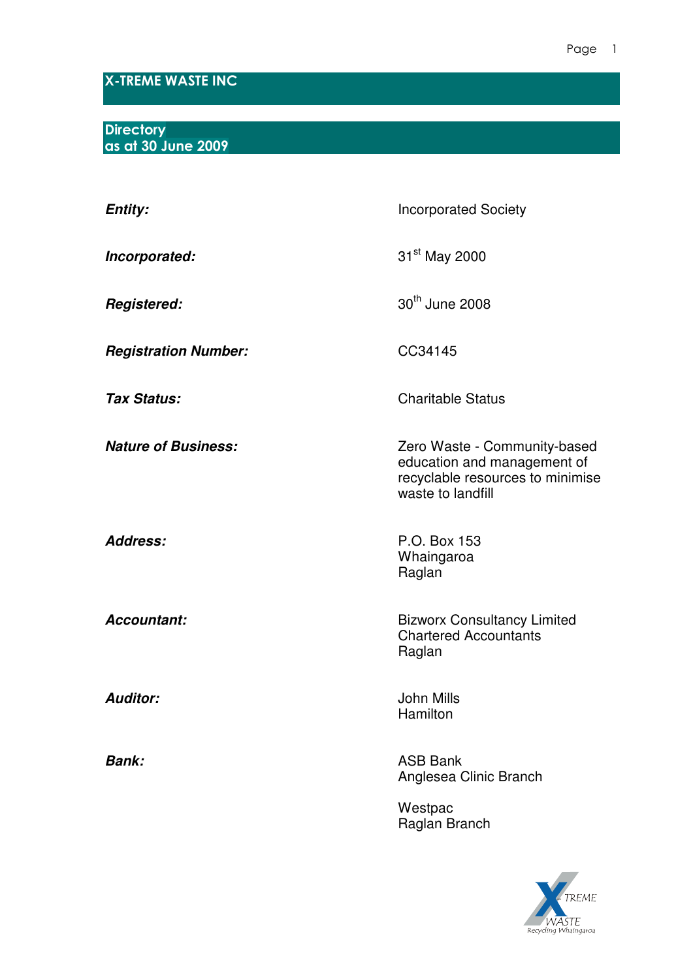# X-TREME WASTE INC

**Directory** as at 30 June 2009

| <b>Entity:</b>              | <b>Incorporated Society</b>                                                                                          |
|-----------------------------|----------------------------------------------------------------------------------------------------------------------|
| Incorporated:               | 31 <sup>st</sup> May 2000                                                                                            |
| <b>Registered:</b>          | 30 <sup>th</sup> June 2008                                                                                           |
| <b>Registration Number:</b> | CC34145                                                                                                              |
| <b>Tax Status:</b>          | <b>Charitable Status</b>                                                                                             |
| <b>Nature of Business:</b>  | Zero Waste - Community-based<br>education and management of<br>recyclable resources to minimise<br>waste to landfill |
| <b>Address:</b>             | P.O. Box 153<br>Whaingaroa<br>Raglan                                                                                 |
| Accountant:                 | <b>Bizworx Consultancy Limited</b><br><b>Chartered Accountants</b><br>Raglan                                         |
| <b>Auditor:</b>             | <b>John Mills</b><br>Hamilton                                                                                        |
| <b>Bank:</b>                | <b>ASB Bank</b><br>Anglesea Clinic Branch                                                                            |
|                             | Westpac<br>Raglan Branch                                                                                             |
|                             |                                                                                                                      |

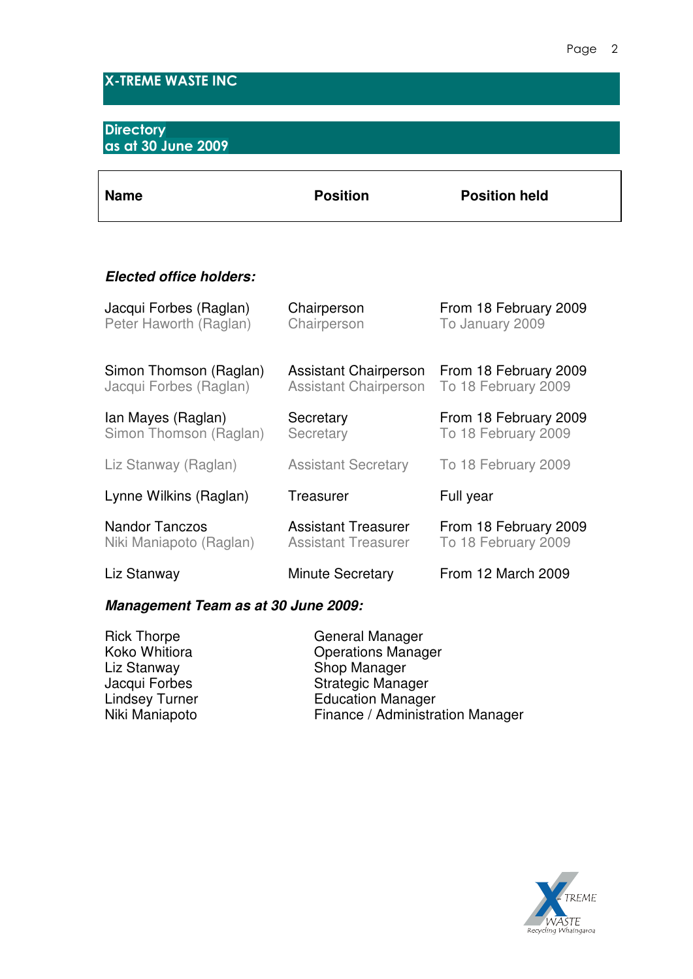# X-TREME WASTE INC

## **Directory** as at 30 June 2009

| <b>Name</b> | <b>Position</b> | <b>Position held</b> |
|-------------|-----------------|----------------------|
|             |                 |                      |

# **Elected office holders:**

| Jacqui Forbes (Raglan)  | Chairperson                  | From 18 February 2009 |
|-------------------------|------------------------------|-----------------------|
| Peter Haworth (Raglan)  | Chairperson                  | To January 2009       |
| Simon Thomson (Raglan)  | <b>Assistant Chairperson</b> | From 18 February 2009 |
| Jacqui Forbes (Raglan)  | <b>Assistant Chairperson</b> | To 18 February 2009   |
| Ian Mayes (Raglan)      | Secretary                    | From 18 February 2009 |
| Simon Thomson (Raglan)  | Secretary                    | To 18 February 2009   |
| Liz Stanway (Raglan)    | <b>Assistant Secretary</b>   | To 18 February 2009   |
| Lynne Wilkins (Raglan)  | Treasurer                    | Full year             |
| <b>Nandor Tanczos</b>   | <b>Assistant Treasurer</b>   | From 18 February 2009 |
| Niki Maniapoto (Raglan) | <b>Assistant Treasurer</b>   | To 18 February 2009   |
| Liz Stanway             | <b>Minute Secretary</b>      | From 12 March 2009    |

# **Management Team as at 30 June 2009:**

| <b>Rick Thorpe</b> | General Manager                  |
|--------------------|----------------------------------|
| Koko Whitiora      | <b>Operations Manager</b>        |
| Liz Stanway        | Shop Manager                     |
| Jacqui Forbes      | <b>Strategic Manager</b>         |
| Lindsey Turner     | <b>Education Manager</b>         |
| Niki Maniapoto     | Finance / Administration Manager |
|                    |                                  |

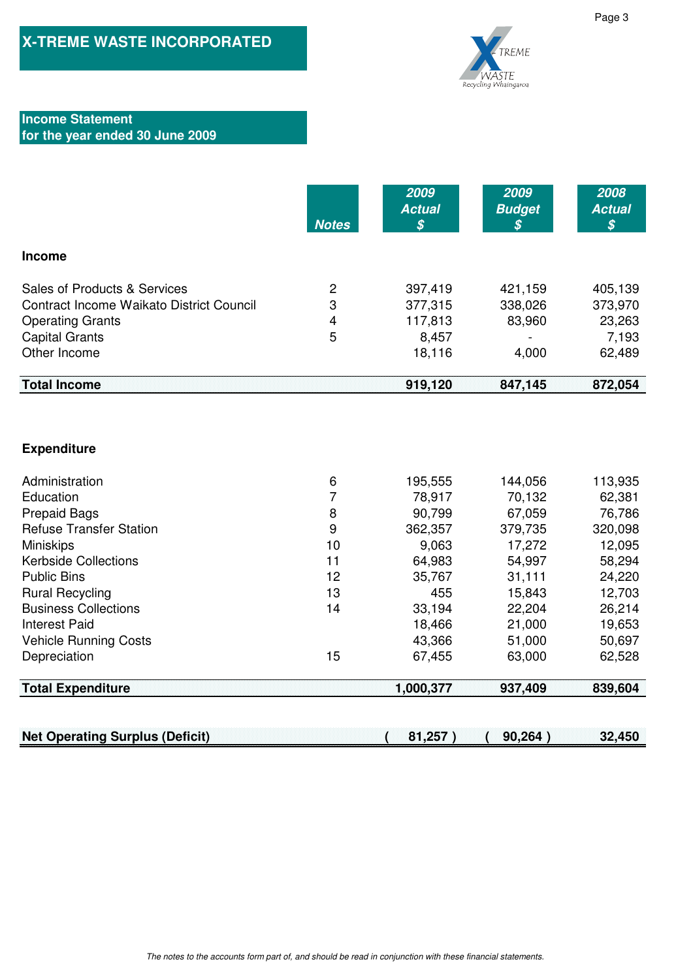

## **Income Statement for the year ended 30 June 2009**

|                                                 | <b>Notes</b> | 2009<br><b>Actual</b><br>$\boldsymbol{\mathcal{S}}$ | 2009<br><b>Budget</b><br>$\boldsymbol{s}$ | 2008<br><b>Actual</b><br>\$ |
|-------------------------------------------------|--------------|-----------------------------------------------------|-------------------------------------------|-----------------------------|
| <b>Income</b>                                   |              |                                                     |                                           |                             |
| Sales of Products & Services                    | 2            | 397,419                                             | 421,159                                   | 405,139                     |
| <b>Contract Income Waikato District Council</b> | 3            | 377,315                                             | 338,026                                   | 373,970                     |
| <b>Operating Grants</b>                         | 4            | 117,813                                             | 83,960                                    | 23,263                      |
| <b>Capital Grants</b>                           | 5            | 8,457                                               |                                           | 7,193                       |
| Other Income                                    |              | 18,116                                              | 4,000                                     | 62,489                      |
| <b>Total Income</b>                             |              | 919,120                                             | 847,145                                   | 872,054                     |

## **Expenditure**

| <b>Total Expenditure</b>       |    | 1,000,377 | 937,409 | 839,604 |
|--------------------------------|----|-----------|---------|---------|
| Depreciation                   | 15 | 67,455    | 63,000  | 62,528  |
|                                |    |           |         |         |
| <b>Vehicle Running Costs</b>   |    | 43,366    | 51,000  | 50,697  |
| <b>Interest Paid</b>           |    | 18,466    | 21,000  | 19,653  |
| <b>Business Collections</b>    | 14 | 33,194    | 22,204  | 26,214  |
| <b>Rural Recycling</b>         | 13 | 455       | 15,843  | 12,703  |
| <b>Public Bins</b>             | 12 | 35,767    | 31,111  | 24,220  |
| <b>Kerbside Collections</b>    | 11 | 64,983    | 54,997  | 58,294  |
| <b>Miniskips</b>               | 10 | 9,063     | 17,272  | 12,095  |
| <b>Refuse Transfer Station</b> | 9  | 362,357   | 379,735 | 320,098 |
| <b>Prepaid Bags</b>            | 8  | 90,799    | 67,059  | 76,786  |
| Education                      |    | 78,917    | 70,132  | 62,381  |
|                                |    |           |         |         |
| Administration                 | 6  | 195,555   | 144,056 | 113,935 |

**Net Operating Surplus (Deficit) 81,257 ) ( 90,264 ) ( 32,450**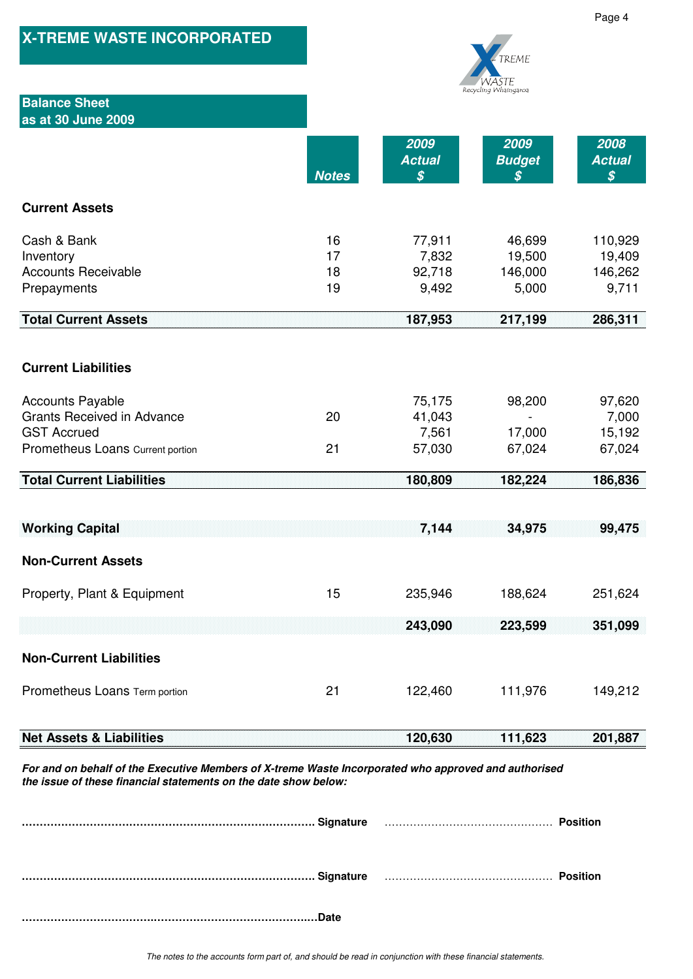| <b>X-TREME WASTE INCORPORATED</b>                                                                                                                                       |                      |                                                     | TREME<br>waste                       |                                                     |  |  |
|-------------------------------------------------------------------------------------------------------------------------------------------------------------------------|----------------------|-----------------------------------------------------|--------------------------------------|-----------------------------------------------------|--|--|
| <b>Balance Sheet</b><br>as at 30 June 2009                                                                                                                              |                      |                                                     | Recycling Whaingaroa                 |                                                     |  |  |
|                                                                                                                                                                         | <b>Notes</b>         | 2009<br><b>Actual</b><br>$\boldsymbol{\mathcal{S}}$ | 2009<br><b>Budget</b><br>S           | 2008<br><b>Actual</b><br>$\boldsymbol{\mathcal{S}}$ |  |  |
| <b>Current Assets</b>                                                                                                                                                   |                      |                                                     |                                      |                                                     |  |  |
| Cash & Bank<br>Inventory<br><b>Accounts Receivable</b><br>Prepayments                                                                                                   | 16<br>17<br>18<br>19 | 77,911<br>7,832<br>92,718<br>9,492                  | 46,699<br>19,500<br>146,000<br>5,000 | 110,929<br>19,409<br>146,262<br>9,711               |  |  |
| <b>Total Current Assets</b>                                                                                                                                             |                      | 187,953                                             | 217,199                              | 286,311                                             |  |  |
| <b>Current Liabilities</b>                                                                                                                                              |                      |                                                     |                                      |                                                     |  |  |
| <b>Accounts Payable</b><br><b>Grants Received in Advance</b><br><b>GST Accrued</b><br>Prometheus Loans Current portion                                                  | 20<br>21             | 75,175<br>41,043<br>7,561<br>57,030                 | 98,200<br>17,000<br>67,024           | 97,620<br>7,000<br>15,192<br>67,024                 |  |  |
| <b>Total Current Liabilities</b>                                                                                                                                        |                      | 180,809                                             | 182,224                              | 186,836                                             |  |  |
| <b>Working Capital</b>                                                                                                                                                  |                      | 7,144                                               | 34,975                               | 99,475                                              |  |  |
| <b>Non-Current Assets</b>                                                                                                                                               |                      |                                                     |                                      |                                                     |  |  |
| Property, Plant & Equipment                                                                                                                                             | 15                   | 235,946                                             | 188,624                              | 251,624                                             |  |  |
|                                                                                                                                                                         |                      | 243,090                                             | 223,599                              | 351,099                                             |  |  |
| <b>Non-Current Liabilities</b>                                                                                                                                          |                      |                                                     |                                      |                                                     |  |  |
| Prometheus Loans Term portion                                                                                                                                           | 21                   | 122,460                                             | 111,976                              | 149,212                                             |  |  |
| <b>Net Assets &amp; Liabilities</b>                                                                                                                                     |                      | 120,630                                             | 111,623                              | 201,887                                             |  |  |
| For and on behalf of the Executive Members of X-treme Waste Incorporated who approved and authorised<br>the issue of these financial statements on the date show below: |                      |                                                     |                                      |                                                     |  |  |

**………………………………………………………………………. Signature** ……………………………………………**Position ………………………………………………………………………. Signature** ……………………………………………**Position**

**……………………………….…………………………………….…Date**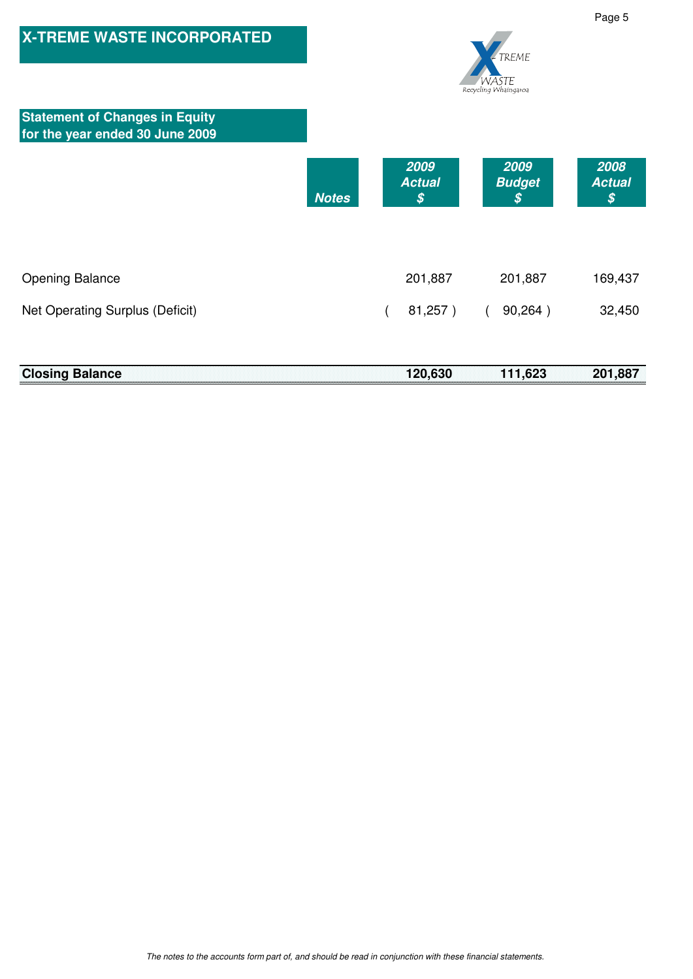

|  |  |  | <b>Closing Balance</b> |  |  |  |  |  |  |  |  |  |  |  |  |  |  |  |  |  |  |  |  |  | 120,630 111,623 201,887 |  |
|--|--|--|------------------------|--|--|--|--|--|--|--|--|--|--|--|--|--|--|--|--|--|--|--|--|--|-------------------------|--|
|  |  |  |                        |  |  |  |  |  |  |  |  |  |  |  |  |  |  |  |  |  |  |  |  |  |                         |  |
|  |  |  |                        |  |  |  |  |  |  |  |  |  |  |  |  |  |  |  |  |  |  |  |  |  |                         |  |
|  |  |  |                        |  |  |  |  |  |  |  |  |  |  |  |  |  |  |  |  |  |  |  |  |  |                         |  |
|  |  |  |                        |  |  |  |  |  |  |  |  |  |  |  |  |  |  |  |  |  |  |  |  |  |                         |  |
|  |  |  |                        |  |  |  |  |  |  |  |  |  |  |  |  |  |  |  |  |  |  |  |  |  |                         |  |
|  |  |  |                        |  |  |  |  |  |  |  |  |  |  |  |  |  |  |  |  |  |  |  |  |  |                         |  |
|  |  |  |                        |  |  |  |  |  |  |  |  |  |  |  |  |  |  |  |  |  |  |  |  |  |                         |  |
|  |  |  |                        |  |  |  |  |  |  |  |  |  |  |  |  |  |  |  |  |  |  |  |  |  |                         |  |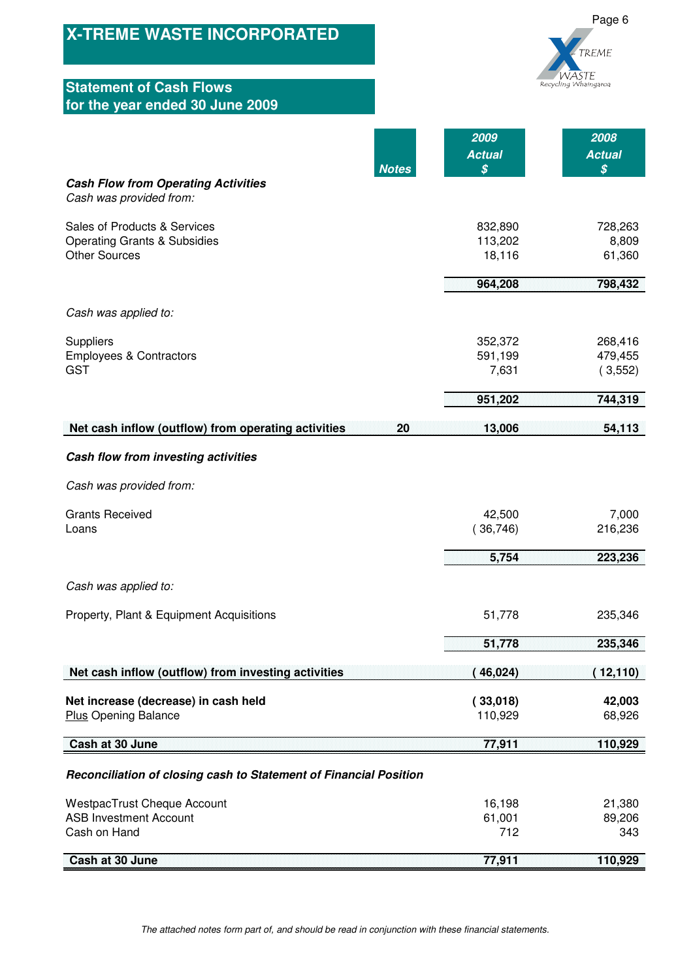| <b>X-TREME WASTE INCORPORATED</b><br><b>Statement of Cash Flows</b>                                                        |                                                    | Page 6<br>TREME<br>vaste<br>Recycling Whaingaroa    |
|----------------------------------------------------------------------------------------------------------------------------|----------------------------------------------------|-----------------------------------------------------|
| for the year ended 30 June 2009                                                                                            |                                                    |                                                     |
| <b>Notes</b><br><b>Cash Flow from Operating Activities</b>                                                                 | 2009<br><b>Actual</b><br>$\boldsymbol{\mathsf{S}}$ | 2008<br><b>Actual</b><br>$\boldsymbol{\mathcal{S}}$ |
| Cash was provided from:<br>Sales of Products & Services<br><b>Operating Grants &amp; Subsidies</b><br><b>Other Sources</b> | 832,890<br>113,202<br>18,116<br>964,208            | 728,263<br>8,809<br>61,360<br>798,432               |
|                                                                                                                            |                                                    |                                                     |
| Cash was applied to:<br>Suppliers<br><b>Employees &amp; Contractors</b><br><b>GST</b>                                      | 352,372<br>591,199<br>7,631                        | 268,416<br>479,455<br>(3,552)                       |
|                                                                                                                            | 951,202                                            | 744,319                                             |
| Net cash inflow (outflow) from operating activities<br>20                                                                  | 13,006                                             | 54,113                                              |
| Cash flow from investing activities                                                                                        |                                                    |                                                     |
| Cash was provided from:                                                                                                    |                                                    |                                                     |
| <b>Grants Received</b><br>Loans                                                                                            | 42,500<br>36,746)                                  | 7,000<br>216,236                                    |
|                                                                                                                            | 5,754                                              | 223,236                                             |
| Cash was applied to:                                                                                                       |                                                    |                                                     |
| Property, Plant & Equipment Acquisitions                                                                                   | 51,778                                             | 235,346                                             |
|                                                                                                                            | 51,778                                             | 235,346                                             |
| Net cash inflow (outflow) from investing activities                                                                        | (46,024)                                           | (12,110)                                            |
| Net increase (decrease) in cash held<br><b>Plus Opening Balance</b>                                                        | (33,018)<br>110,929                                | 42,003<br>68,926                                    |
| Cash at 30 June                                                                                                            | 77,911                                             | 110,929                                             |
| Reconciliation of closing cash to Statement of Financial Position                                                          |                                                    |                                                     |
| <b>WestpacTrust Cheque Account</b><br><b>ASB Investment Account</b><br>Cash on Hand                                        | 16,198<br>61,001<br>712                            | 21,380<br>89,206<br>343                             |
| Cash at 30 June                                                                                                            | 77,911                                             | 110,929                                             |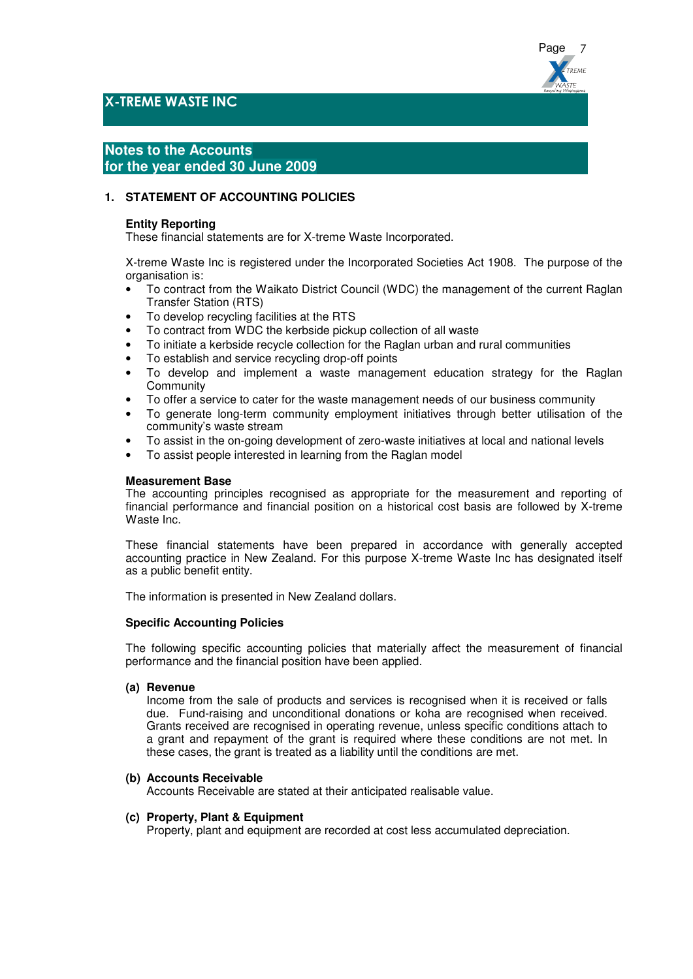

## X-TREME WASTE INC

# **Notes to the Accounts for the year ended 30 June 2009**

### **1. STATEMENT OF ACCOUNTING POLICIES**

### **Entity Reporting**

These financial statements are for X-treme Waste Incorporated.

X-treme Waste Inc is registered under the Incorporated Societies Act 1908. The purpose of the organisation is:

- To contract from the Waikato District Council (WDC) the management of the current Raglan Transfer Station (RTS)
- To develop recycling facilities at the RTS
- To contract from WDC the kerbside pickup collection of all waste
- To initiate a kerbside recycle collection for the Raglan urban and rural communities
- To establish and service recycling drop-off points
- To develop and implement a waste management education strategy for the Raglan **Community**
- To offer a service to cater for the waste management needs of our business community
- To generate long-term community employment initiatives through better utilisation of the community's waste stream
- To assist in the on-going development of zero-waste initiatives at local and national levels
- To assist people interested in learning from the Raglan model

#### **Measurement Base**

The accounting principles recognised as appropriate for the measurement and reporting of financial performance and financial position on a historical cost basis are followed by X-treme Waste Inc.

These financial statements have been prepared in accordance with generally accepted accounting practice in New Zealand. For this purpose X-treme Waste Inc has designated itself as a public benefit entity.

The information is presented in New Zealand dollars.

#### **Specific Accounting Policies**

The following specific accounting policies that materially affect the measurement of financial performance and the financial position have been applied.

#### **(a) Revenue**

Income from the sale of products and services is recognised when it is received or falls due. Fund-raising and unconditional donations or koha are recognised when received. Grants received are recognised in operating revenue, unless specific conditions attach to a grant and repayment of the grant is required where these conditions are not met. In these cases, the grant is treated as a liability until the conditions are met.

#### **(b) Accounts Receivable**

Accounts Receivable are stated at their anticipated realisable value.

#### **(c) Property, Plant & Equipment**

Property, plant and equipment are recorded at cost less accumulated depreciation.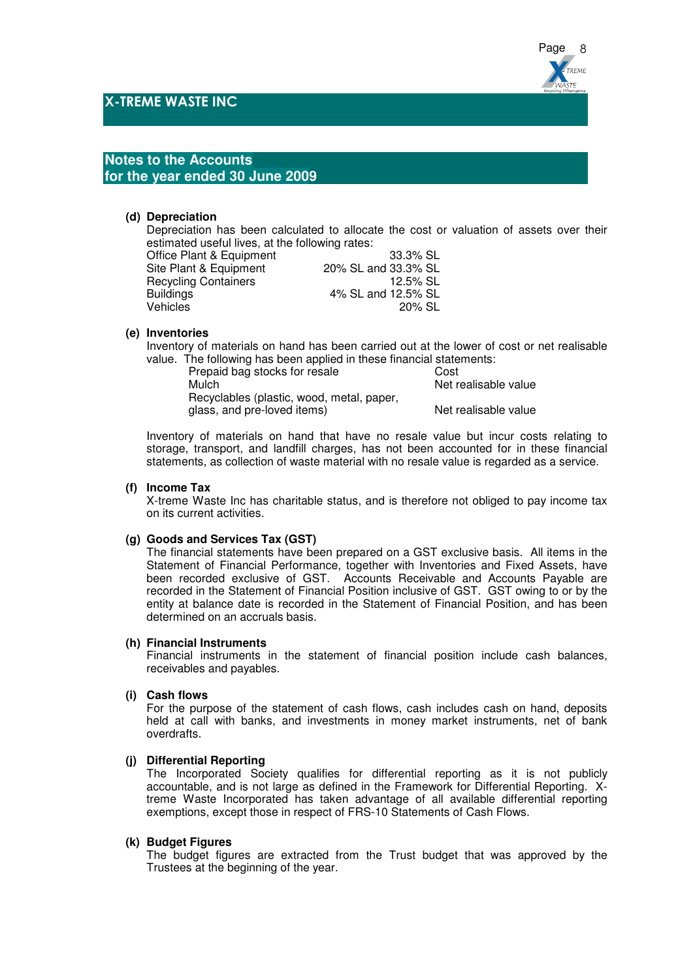

## **Notes to the Accounts for the year ended 30 June 2009**

#### **(d) Depreciation**

Depreciation has been calculated to allocate the cost or valuation of assets over their estimated useful lives, at the following rates:

| 33.3% SL            |
|---------------------|
| 20% SL and 33.3% SL |
| 12.5% SL            |
| 4% SL and 12.5% SL  |
| 20% SL              |
|                     |

#### **(e) Inventories**

Inventory of materials on hand has been carried out at the lower of cost or net realisable value. The following has been applied in these financial statements:

| Prepaid bag stocks for resale             | Cost                 |
|-------------------------------------------|----------------------|
| Mulch                                     | Net realisable value |
| Recyclables (plastic, wood, metal, paper, |                      |
| glass, and pre-loved items)               | Net realisable value |
|                                           |                      |

Inventory of materials on hand that have no resale value but incur costs relating to storage, transport, and landfill charges, has not been accounted for in these financial statements, as collection of waste material with no resale value is regarded as a service.

#### **(f) Income Tax**

X-treme Waste Inc has charitable status, and is therefore not obliged to pay income tax on its current activities.

#### **(g) Goods and Services Tax (GST)**

The financial statements have been prepared on a GST exclusive basis. All items in the Statement of Financial Performance, together with Inventories and Fixed Assets, have been recorded exclusive of GST. Accounts Receivable and Accounts Payable are recorded in the Statement of Financial Position inclusive of GST. GST owing to or by the entity at balance date is recorded in the Statement of Financial Position, and has been determined on an accruals basis.

#### **(h) Financial Instruments**

Financial instruments in the statement of financial position include cash balances, receivables and payables.

#### **(i) Cash flows**

For the purpose of the statement of cash flows, cash includes cash on hand, deposits held at call with banks, and investments in money market instruments, net of bank overdrafts.

## **(j) Differential Reporting**

The Incorporated Society qualifies for differential reporting as it is not publicly accountable, and is not large as defined in the Framework for Differential Reporting. Xtreme Waste Incorporated has taken advantage of all available differential reporting exemptions, except those in respect of FRS-10 Statements of Cash Flows.

#### **(k) Budget Figures**

The budget figures are extracted from the Trust budget that was approved by the Trustees at the beginning of the year.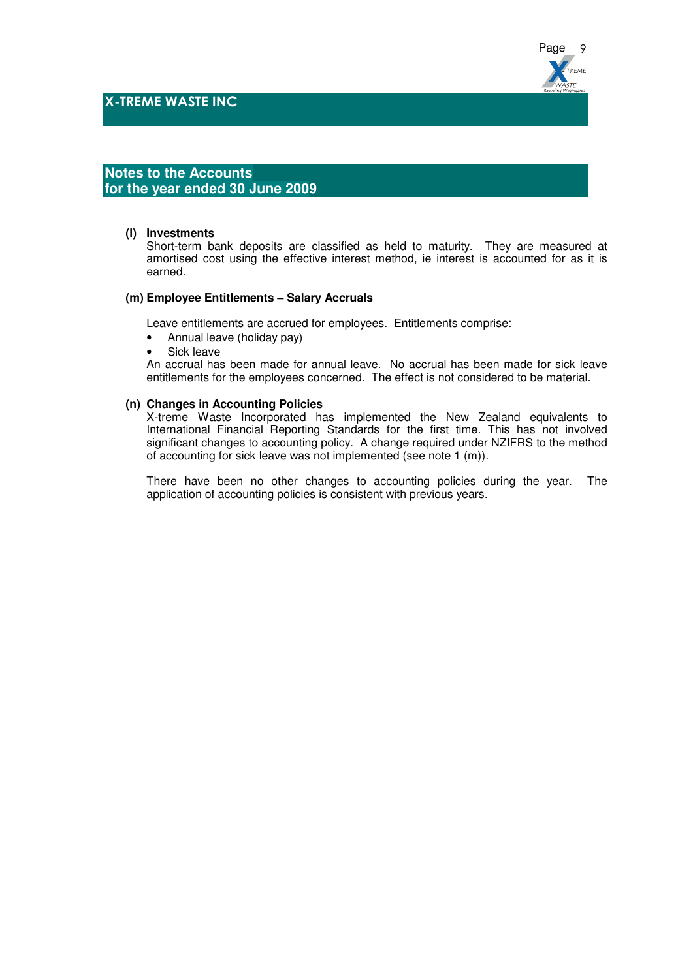

## **Notes to the Accounts for the year ended 30 June 2009**

## **(l) Investments**

Short-term bank deposits are classified as held to maturity. They are measured at amortised cost using the effective interest method, ie interest is accounted for as it is earned.

#### **(m) Employee Entitlements – Salary Accruals**

Leave entitlements are accrued for employees. Entitlements comprise:

- Annual leave (holiday pay)
- Sick leave

An accrual has been made for annual leave. No accrual has been made for sick leave entitlements for the employees concerned. The effect is not considered to be material.

#### **(n) Changes in Accounting Policies**

X-treme Waste Incorporated has implemented the New Zealand equivalents to International Financial Reporting Standards for the first time. This has not involved significant changes to accounting policy. A change required under NZIFRS to the method of accounting for sick leave was not implemented (see note 1 (m)).

There have been no other changes to accounting policies during the year. The application of accounting policies is consistent with previous years.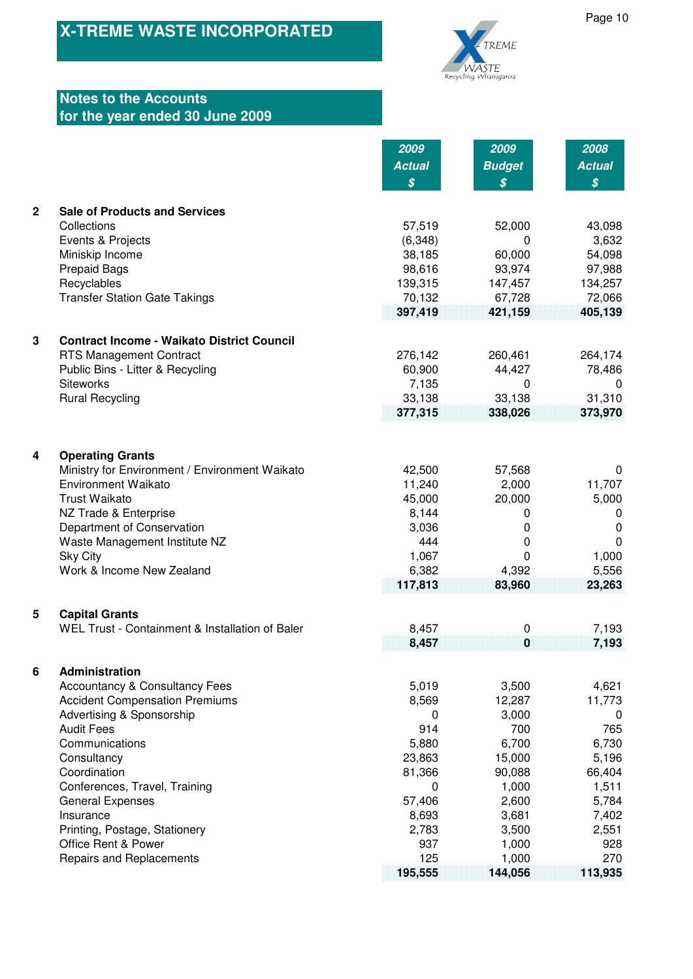

# **Notes to the Accounts for the year ended 30 June 2009**

|                |                                                   | 2009          | 2009                       | 2008                       |
|----------------|---------------------------------------------------|---------------|----------------------------|----------------------------|
|                |                                                   | <b>Actual</b> | <b>Budget</b>              | <b>Actual</b>              |
|                |                                                   | \$            | $\boldsymbol{\mathcal{S}}$ | $\boldsymbol{\mathcal{S}}$ |
|                |                                                   |               |                            |                            |
| $\overline{2}$ | <b>Sale of Products and Services</b>              |               |                            |                            |
|                | Collections                                       | 57,519        | 52,000                     | 43,098                     |
|                | Events & Projects                                 | (6, 348)      | 0                          | 3,632                      |
|                | Miniskip Income                                   | 38,185        | 60,000                     | 54,098                     |
|                | <b>Prepaid Bags</b>                               | 98,616        | 93,974                     | 97,988                     |
|                | Recyclables                                       | 139,315       | 147,457                    | 134,257                    |
|                | <b>Transfer Station Gate Takings</b>              | 70,132        | 67,728                     | 72,066                     |
|                |                                                   | 397,419       | 421,159                    | 405,139                    |
|                |                                                   |               |                            |                            |
| $\mathbf{3}$   | <b>Contract Income - Waikato District Council</b> |               |                            |                            |
|                | RTS Management Contract                           | 276,142       | 260,461                    | 264,174                    |
|                | Public Bins - Litter & Recycling                  | 60,900        | 44,427                     | 78,486                     |
|                | <b>Siteworks</b>                                  | 7,135         | 0                          | $\Omega$                   |
|                | <b>Rural Recycling</b>                            | 33,138        | 33,138                     | 31,310                     |
|                |                                                   | 377,315       | 338,026                    | 373,970                    |
|                |                                                   |               |                            |                            |
|                |                                                   |               |                            |                            |
| 4              | <b>Operating Grants</b>                           |               |                            |                            |
|                | Ministry for Environment / Environment Waikato    | 42,500        | 57,568                     | 0                          |
|                | <b>Environment Waikato</b>                        | 11,240        | 2,000                      | 11,707                     |
|                | <b>Trust Waikato</b>                              | 45,000        | 20,000                     | 5,000                      |
|                | NZ Trade & Enterprise                             | 8,144         | 0                          | 0                          |
|                | Department of Conservation                        | 3,036         | 0                          | 0                          |
|                | Waste Management Institute NZ                     | 444           | 0                          | $\Omega$                   |
|                | <b>Sky City</b>                                   | 1,067         | 0                          | 1,000                      |
|                | Work & Income New Zealand                         | 6,382         | 4,392                      | 5,556                      |
|                |                                                   | 117,813       | 83,960                     | 23,263                     |
|                |                                                   |               |                            |                            |
| 5              | <b>Capital Grants</b>                             |               |                            |                            |
|                | WEL Trust - Containment & Installation of Baler   | 8,457         | 0                          | 7,193                      |
|                |                                                   | 8,457         | 0                          | 7,193                      |
| 6              | Administration                                    |               |                            |                            |
|                | <b>Accountancy &amp; Consultancy Fees</b>         | 5,019         | 3,500                      | 4,621                      |
|                | <b>Accident Compensation Premiums</b>             | 8,569         | 12,287                     | 11,773                     |
|                | Advertising & Sponsorship                         | 0             | 3,000                      | 0                          |
|                | <b>Audit Fees</b>                                 | 914           | 700                        | 765                        |
|                | Communications                                    | 5,880         | 6,700                      | 6,730                      |
|                | Consultancy                                       | 23,863        | 15,000                     | 5,196                      |
|                | Coordination                                      | 81,366        | 90,088                     | 66,404                     |
|                | Conferences, Travel, Training                     | 0             | 1,000                      | 1,511                      |
|                | <b>General Expenses</b>                           | 57,406        | 2,600                      | 5,784                      |
|                | Insurance                                         | 8,693         | 3,681                      | 7,402                      |
|                | Printing, Postage, Stationery                     | 2,783         | 3,500                      | 2,551                      |
|                | Office Rent & Power                               | 937           | 1,000                      | 928                        |
|                | Repairs and Replacements                          | 125           | 1,000                      | 270                        |
|                |                                                   | 195,555       | 144,056                    | 113,935                    |
|                |                                                   |               |                            |                            |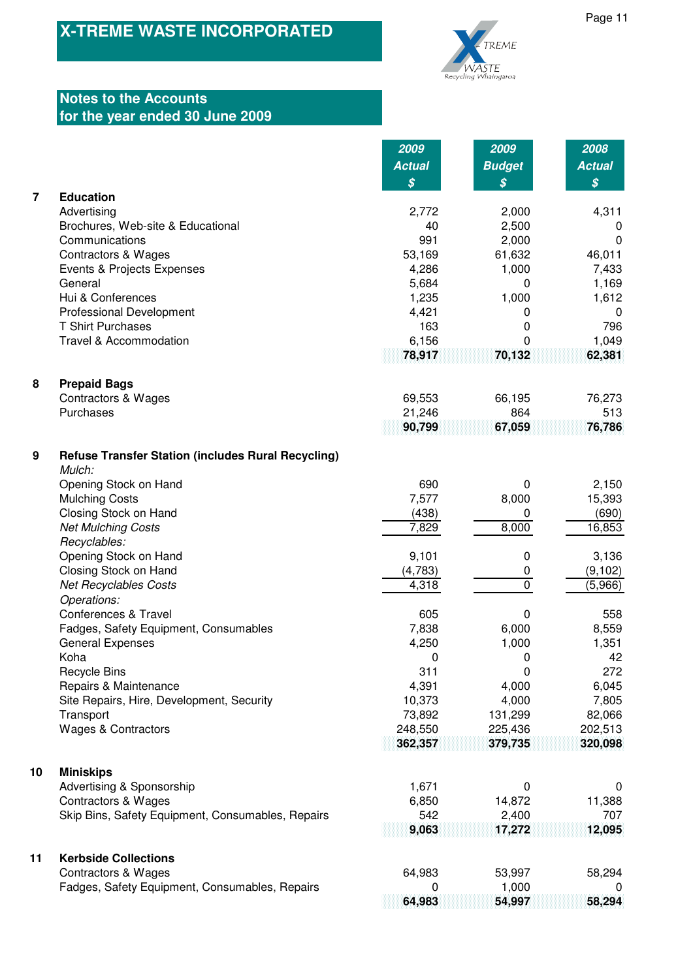

# **Notes to the Accounts for the year ended 30 June 2009**

| <b>Budget</b><br><b>Actual</b><br><b>Actual</b><br>$\boldsymbol{\mathcal{S}}$<br>\$<br>\$<br><b>Education</b><br>Advertising<br>4,311<br>2,772<br>2,000<br>40<br>2,500<br>Brochures, Web-site & Educational<br>0<br>Communications<br>991<br>2,000<br>$\mathbf 0$<br><b>Contractors &amp; Wages</b><br>53,169<br>61,632<br>46,011<br>1,000<br>7,433<br>Events & Projects Expenses<br>4,286<br>General<br>1,169<br>5,684<br>0<br>Hui & Conferences<br>1,000<br>1,235<br>1,612<br>Professional Development<br>4,421<br>0<br>0<br><b>T Shirt Purchases</b><br>163<br>796<br>0<br>1,049<br>Travel & Accommodation<br>6,156<br>0<br>78,917<br>70,132<br>62,381<br><b>Prepaid Bags</b><br><b>Contractors &amp; Wages</b><br>69,553<br>66,195<br>76,273<br>Purchases<br>21,246<br>864<br>513<br>90,799<br>67,059<br>76,786<br><b>Refuse Transfer Station (includes Rural Recycling)</b><br>Mulch:<br>Opening Stock on Hand<br>690<br>2,150<br>0<br><b>Mulching Costs</b><br>7,577<br>8,000<br>15,393<br>Closing Stock on Hand<br>(438)<br>(690)<br>0<br>8,000<br>16,853<br><b>Net Mulching Costs</b><br>7,829<br>Recyclables:<br>Opening Stock on Hand<br>3,136<br>9,101<br>0<br>Closing Stock on Hand<br>(4,783)<br>(9, 102)<br>0<br>$\mathbf 0$<br><b>Net Recyclables Costs</b><br>4,318<br>(5,966)<br>Operations:<br>Conferences & Travel<br>605<br>558<br>0<br>Fadges, Safety Equipment, Consumables<br>7,838<br>6,000<br>8,559<br><b>General Expenses</b><br>4,250<br>1,000<br>1,351<br>Koha<br>42<br>0<br>0<br><b>Recycle Bins</b><br>311<br>0<br>272<br>Repairs & Maintenance<br>4,391<br>4,000<br>6,045<br>Site Repairs, Hire, Development, Security<br>10,373<br>4,000<br>7,805<br>73,892<br>Transport<br>131,299<br>82,066<br><b>Wages &amp; Contractors</b><br>248,550<br>225,436<br>202,513<br>362,357<br>379,735<br>320,098<br><b>Miniskips</b><br>Advertising & Sponsorship<br>1,671<br>0<br>0<br><b>Contractors &amp; Wages</b><br>6,850<br>14,872<br>11,388<br>542<br>2,400<br>707<br>Skip Bins, Safety Equipment, Consumables, Repairs<br>9,063<br>17,272<br>12,095<br><b>Kerbside Collections</b><br><b>Contractors &amp; Wages</b><br>64,983<br>53,997<br>58,294<br>1,000<br>Fadges, Safety Equipment, Consumables, Repairs<br>0<br>O |                  | 2009   | 2009   | 2008   |
|---------------------------------------------------------------------------------------------------------------------------------------------------------------------------------------------------------------------------------------------------------------------------------------------------------------------------------------------------------------------------------------------------------------------------------------------------------------------------------------------------------------------------------------------------------------------------------------------------------------------------------------------------------------------------------------------------------------------------------------------------------------------------------------------------------------------------------------------------------------------------------------------------------------------------------------------------------------------------------------------------------------------------------------------------------------------------------------------------------------------------------------------------------------------------------------------------------------------------------------------------------------------------------------------------------------------------------------------------------------------------------------------------------------------------------------------------------------------------------------------------------------------------------------------------------------------------------------------------------------------------------------------------------------------------------------------------------------------------------------------------------------------------------------------------------------------------------------------------------------------------------------------------------------------------------------------------------------------------------------------------------------------------------------------------------------------------------------------------------------------------------------------------------------------------------------------------------------------------------------------------|------------------|--------|--------|--------|
|                                                                                                                                                                                                                                                                                                                                                                                                                                                                                                                                                                                                                                                                                                                                                                                                                                                                                                                                                                                                                                                                                                                                                                                                                                                                                                                                                                                                                                                                                                                                                                                                                                                                                                                                                                                                                                                                                                                                                                                                                                                                                                                                                                                                                                                   |                  |        |        |        |
|                                                                                                                                                                                                                                                                                                                                                                                                                                                                                                                                                                                                                                                                                                                                                                                                                                                                                                                                                                                                                                                                                                                                                                                                                                                                                                                                                                                                                                                                                                                                                                                                                                                                                                                                                                                                                                                                                                                                                                                                                                                                                                                                                                                                                                                   |                  |        |        |        |
|                                                                                                                                                                                                                                                                                                                                                                                                                                                                                                                                                                                                                                                                                                                                                                                                                                                                                                                                                                                                                                                                                                                                                                                                                                                                                                                                                                                                                                                                                                                                                                                                                                                                                                                                                                                                                                                                                                                                                                                                                                                                                                                                                                                                                                                   | $\overline{7}$   |        |        |        |
|                                                                                                                                                                                                                                                                                                                                                                                                                                                                                                                                                                                                                                                                                                                                                                                                                                                                                                                                                                                                                                                                                                                                                                                                                                                                                                                                                                                                                                                                                                                                                                                                                                                                                                                                                                                                                                                                                                                                                                                                                                                                                                                                                                                                                                                   |                  |        |        |        |
|                                                                                                                                                                                                                                                                                                                                                                                                                                                                                                                                                                                                                                                                                                                                                                                                                                                                                                                                                                                                                                                                                                                                                                                                                                                                                                                                                                                                                                                                                                                                                                                                                                                                                                                                                                                                                                                                                                                                                                                                                                                                                                                                                                                                                                                   |                  |        |        |        |
|                                                                                                                                                                                                                                                                                                                                                                                                                                                                                                                                                                                                                                                                                                                                                                                                                                                                                                                                                                                                                                                                                                                                                                                                                                                                                                                                                                                                                                                                                                                                                                                                                                                                                                                                                                                                                                                                                                                                                                                                                                                                                                                                                                                                                                                   |                  |        |        |        |
|                                                                                                                                                                                                                                                                                                                                                                                                                                                                                                                                                                                                                                                                                                                                                                                                                                                                                                                                                                                                                                                                                                                                                                                                                                                                                                                                                                                                                                                                                                                                                                                                                                                                                                                                                                                                                                                                                                                                                                                                                                                                                                                                                                                                                                                   |                  |        |        |        |
|                                                                                                                                                                                                                                                                                                                                                                                                                                                                                                                                                                                                                                                                                                                                                                                                                                                                                                                                                                                                                                                                                                                                                                                                                                                                                                                                                                                                                                                                                                                                                                                                                                                                                                                                                                                                                                                                                                                                                                                                                                                                                                                                                                                                                                                   |                  |        |        |        |
|                                                                                                                                                                                                                                                                                                                                                                                                                                                                                                                                                                                                                                                                                                                                                                                                                                                                                                                                                                                                                                                                                                                                                                                                                                                                                                                                                                                                                                                                                                                                                                                                                                                                                                                                                                                                                                                                                                                                                                                                                                                                                                                                                                                                                                                   |                  |        |        |        |
|                                                                                                                                                                                                                                                                                                                                                                                                                                                                                                                                                                                                                                                                                                                                                                                                                                                                                                                                                                                                                                                                                                                                                                                                                                                                                                                                                                                                                                                                                                                                                                                                                                                                                                                                                                                                                                                                                                                                                                                                                                                                                                                                                                                                                                                   |                  |        |        |        |
|                                                                                                                                                                                                                                                                                                                                                                                                                                                                                                                                                                                                                                                                                                                                                                                                                                                                                                                                                                                                                                                                                                                                                                                                                                                                                                                                                                                                                                                                                                                                                                                                                                                                                                                                                                                                                                                                                                                                                                                                                                                                                                                                                                                                                                                   |                  |        |        |        |
|                                                                                                                                                                                                                                                                                                                                                                                                                                                                                                                                                                                                                                                                                                                                                                                                                                                                                                                                                                                                                                                                                                                                                                                                                                                                                                                                                                                                                                                                                                                                                                                                                                                                                                                                                                                                                                                                                                                                                                                                                                                                                                                                                                                                                                                   |                  |        |        |        |
|                                                                                                                                                                                                                                                                                                                                                                                                                                                                                                                                                                                                                                                                                                                                                                                                                                                                                                                                                                                                                                                                                                                                                                                                                                                                                                                                                                                                                                                                                                                                                                                                                                                                                                                                                                                                                                                                                                                                                                                                                                                                                                                                                                                                                                                   |                  |        |        |        |
|                                                                                                                                                                                                                                                                                                                                                                                                                                                                                                                                                                                                                                                                                                                                                                                                                                                                                                                                                                                                                                                                                                                                                                                                                                                                                                                                                                                                                                                                                                                                                                                                                                                                                                                                                                                                                                                                                                                                                                                                                                                                                                                                                                                                                                                   |                  |        |        |        |
|                                                                                                                                                                                                                                                                                                                                                                                                                                                                                                                                                                                                                                                                                                                                                                                                                                                                                                                                                                                                                                                                                                                                                                                                                                                                                                                                                                                                                                                                                                                                                                                                                                                                                                                                                                                                                                                                                                                                                                                                                                                                                                                                                                                                                                                   | 8                |        |        |        |
|                                                                                                                                                                                                                                                                                                                                                                                                                                                                                                                                                                                                                                                                                                                                                                                                                                                                                                                                                                                                                                                                                                                                                                                                                                                                                                                                                                                                                                                                                                                                                                                                                                                                                                                                                                                                                                                                                                                                                                                                                                                                                                                                                                                                                                                   |                  |        |        |        |
|                                                                                                                                                                                                                                                                                                                                                                                                                                                                                                                                                                                                                                                                                                                                                                                                                                                                                                                                                                                                                                                                                                                                                                                                                                                                                                                                                                                                                                                                                                                                                                                                                                                                                                                                                                                                                                                                                                                                                                                                                                                                                                                                                                                                                                                   |                  |        |        |        |
|                                                                                                                                                                                                                                                                                                                                                                                                                                                                                                                                                                                                                                                                                                                                                                                                                                                                                                                                                                                                                                                                                                                                                                                                                                                                                                                                                                                                                                                                                                                                                                                                                                                                                                                                                                                                                                                                                                                                                                                                                                                                                                                                                                                                                                                   |                  |        |        |        |
|                                                                                                                                                                                                                                                                                                                                                                                                                                                                                                                                                                                                                                                                                                                                                                                                                                                                                                                                                                                                                                                                                                                                                                                                                                                                                                                                                                                                                                                                                                                                                                                                                                                                                                                                                                                                                                                                                                                                                                                                                                                                                                                                                                                                                                                   | $\boldsymbol{9}$ |        |        |        |
|                                                                                                                                                                                                                                                                                                                                                                                                                                                                                                                                                                                                                                                                                                                                                                                                                                                                                                                                                                                                                                                                                                                                                                                                                                                                                                                                                                                                                                                                                                                                                                                                                                                                                                                                                                                                                                                                                                                                                                                                                                                                                                                                                                                                                                                   |                  |        |        |        |
|                                                                                                                                                                                                                                                                                                                                                                                                                                                                                                                                                                                                                                                                                                                                                                                                                                                                                                                                                                                                                                                                                                                                                                                                                                                                                                                                                                                                                                                                                                                                                                                                                                                                                                                                                                                                                                                                                                                                                                                                                                                                                                                                                                                                                                                   |                  |        |        |        |
|                                                                                                                                                                                                                                                                                                                                                                                                                                                                                                                                                                                                                                                                                                                                                                                                                                                                                                                                                                                                                                                                                                                                                                                                                                                                                                                                                                                                                                                                                                                                                                                                                                                                                                                                                                                                                                                                                                                                                                                                                                                                                                                                                                                                                                                   |                  |        |        |        |
|                                                                                                                                                                                                                                                                                                                                                                                                                                                                                                                                                                                                                                                                                                                                                                                                                                                                                                                                                                                                                                                                                                                                                                                                                                                                                                                                                                                                                                                                                                                                                                                                                                                                                                                                                                                                                                                                                                                                                                                                                                                                                                                                                                                                                                                   |                  |        |        |        |
|                                                                                                                                                                                                                                                                                                                                                                                                                                                                                                                                                                                                                                                                                                                                                                                                                                                                                                                                                                                                                                                                                                                                                                                                                                                                                                                                                                                                                                                                                                                                                                                                                                                                                                                                                                                                                                                                                                                                                                                                                                                                                                                                                                                                                                                   |                  |        |        |        |
|                                                                                                                                                                                                                                                                                                                                                                                                                                                                                                                                                                                                                                                                                                                                                                                                                                                                                                                                                                                                                                                                                                                                                                                                                                                                                                                                                                                                                                                                                                                                                                                                                                                                                                                                                                                                                                                                                                                                                                                                                                                                                                                                                                                                                                                   |                  |        |        |        |
|                                                                                                                                                                                                                                                                                                                                                                                                                                                                                                                                                                                                                                                                                                                                                                                                                                                                                                                                                                                                                                                                                                                                                                                                                                                                                                                                                                                                                                                                                                                                                                                                                                                                                                                                                                                                                                                                                                                                                                                                                                                                                                                                                                                                                                                   |                  |        |        |        |
|                                                                                                                                                                                                                                                                                                                                                                                                                                                                                                                                                                                                                                                                                                                                                                                                                                                                                                                                                                                                                                                                                                                                                                                                                                                                                                                                                                                                                                                                                                                                                                                                                                                                                                                                                                                                                                                                                                                                                                                                                                                                                                                                                                                                                                                   |                  |        |        |        |
|                                                                                                                                                                                                                                                                                                                                                                                                                                                                                                                                                                                                                                                                                                                                                                                                                                                                                                                                                                                                                                                                                                                                                                                                                                                                                                                                                                                                                                                                                                                                                                                                                                                                                                                                                                                                                                                                                                                                                                                                                                                                                                                                                                                                                                                   |                  |        |        |        |
|                                                                                                                                                                                                                                                                                                                                                                                                                                                                                                                                                                                                                                                                                                                                                                                                                                                                                                                                                                                                                                                                                                                                                                                                                                                                                                                                                                                                                                                                                                                                                                                                                                                                                                                                                                                                                                                                                                                                                                                                                                                                                                                                                                                                                                                   |                  |        |        |        |
|                                                                                                                                                                                                                                                                                                                                                                                                                                                                                                                                                                                                                                                                                                                                                                                                                                                                                                                                                                                                                                                                                                                                                                                                                                                                                                                                                                                                                                                                                                                                                                                                                                                                                                                                                                                                                                                                                                                                                                                                                                                                                                                                                                                                                                                   |                  |        |        |        |
|                                                                                                                                                                                                                                                                                                                                                                                                                                                                                                                                                                                                                                                                                                                                                                                                                                                                                                                                                                                                                                                                                                                                                                                                                                                                                                                                                                                                                                                                                                                                                                                                                                                                                                                                                                                                                                                                                                                                                                                                                                                                                                                                                                                                                                                   |                  |        |        |        |
|                                                                                                                                                                                                                                                                                                                                                                                                                                                                                                                                                                                                                                                                                                                                                                                                                                                                                                                                                                                                                                                                                                                                                                                                                                                                                                                                                                                                                                                                                                                                                                                                                                                                                                                                                                                                                                                                                                                                                                                                                                                                                                                                                                                                                                                   |                  |        |        |        |
|                                                                                                                                                                                                                                                                                                                                                                                                                                                                                                                                                                                                                                                                                                                                                                                                                                                                                                                                                                                                                                                                                                                                                                                                                                                                                                                                                                                                                                                                                                                                                                                                                                                                                                                                                                                                                                                                                                                                                                                                                                                                                                                                                                                                                                                   |                  |        |        |        |
|                                                                                                                                                                                                                                                                                                                                                                                                                                                                                                                                                                                                                                                                                                                                                                                                                                                                                                                                                                                                                                                                                                                                                                                                                                                                                                                                                                                                                                                                                                                                                                                                                                                                                                                                                                                                                                                                                                                                                                                                                                                                                                                                                                                                                                                   |                  |        |        |        |
|                                                                                                                                                                                                                                                                                                                                                                                                                                                                                                                                                                                                                                                                                                                                                                                                                                                                                                                                                                                                                                                                                                                                                                                                                                                                                                                                                                                                                                                                                                                                                                                                                                                                                                                                                                                                                                                                                                                                                                                                                                                                                                                                                                                                                                                   |                  |        |        |        |
|                                                                                                                                                                                                                                                                                                                                                                                                                                                                                                                                                                                                                                                                                                                                                                                                                                                                                                                                                                                                                                                                                                                                                                                                                                                                                                                                                                                                                                                                                                                                                                                                                                                                                                                                                                                                                                                                                                                                                                                                                                                                                                                                                                                                                                                   |                  |        |        |        |
|                                                                                                                                                                                                                                                                                                                                                                                                                                                                                                                                                                                                                                                                                                                                                                                                                                                                                                                                                                                                                                                                                                                                                                                                                                                                                                                                                                                                                                                                                                                                                                                                                                                                                                                                                                                                                                                                                                                                                                                                                                                                                                                                                                                                                                                   |                  |        |        |        |
|                                                                                                                                                                                                                                                                                                                                                                                                                                                                                                                                                                                                                                                                                                                                                                                                                                                                                                                                                                                                                                                                                                                                                                                                                                                                                                                                                                                                                                                                                                                                                                                                                                                                                                                                                                                                                                                                                                                                                                                                                                                                                                                                                                                                                                                   |                  |        |        |        |
|                                                                                                                                                                                                                                                                                                                                                                                                                                                                                                                                                                                                                                                                                                                                                                                                                                                                                                                                                                                                                                                                                                                                                                                                                                                                                                                                                                                                                                                                                                                                                                                                                                                                                                                                                                                                                                                                                                                                                                                                                                                                                                                                                                                                                                                   |                  |        |        |        |
|                                                                                                                                                                                                                                                                                                                                                                                                                                                                                                                                                                                                                                                                                                                                                                                                                                                                                                                                                                                                                                                                                                                                                                                                                                                                                                                                                                                                                                                                                                                                                                                                                                                                                                                                                                                                                                                                                                                                                                                                                                                                                                                                                                                                                                                   | 10               |        |        |        |
|                                                                                                                                                                                                                                                                                                                                                                                                                                                                                                                                                                                                                                                                                                                                                                                                                                                                                                                                                                                                                                                                                                                                                                                                                                                                                                                                                                                                                                                                                                                                                                                                                                                                                                                                                                                                                                                                                                                                                                                                                                                                                                                                                                                                                                                   |                  |        |        |        |
|                                                                                                                                                                                                                                                                                                                                                                                                                                                                                                                                                                                                                                                                                                                                                                                                                                                                                                                                                                                                                                                                                                                                                                                                                                                                                                                                                                                                                                                                                                                                                                                                                                                                                                                                                                                                                                                                                                                                                                                                                                                                                                                                                                                                                                                   |                  |        |        |        |
|                                                                                                                                                                                                                                                                                                                                                                                                                                                                                                                                                                                                                                                                                                                                                                                                                                                                                                                                                                                                                                                                                                                                                                                                                                                                                                                                                                                                                                                                                                                                                                                                                                                                                                                                                                                                                                                                                                                                                                                                                                                                                                                                                                                                                                                   |                  |        |        |        |
|                                                                                                                                                                                                                                                                                                                                                                                                                                                                                                                                                                                                                                                                                                                                                                                                                                                                                                                                                                                                                                                                                                                                                                                                                                                                                                                                                                                                                                                                                                                                                                                                                                                                                                                                                                                                                                                                                                                                                                                                                                                                                                                                                                                                                                                   |                  |        |        |        |
|                                                                                                                                                                                                                                                                                                                                                                                                                                                                                                                                                                                                                                                                                                                                                                                                                                                                                                                                                                                                                                                                                                                                                                                                                                                                                                                                                                                                                                                                                                                                                                                                                                                                                                                                                                                                                                                                                                                                                                                                                                                                                                                                                                                                                                                   | 11               |        |        |        |
|                                                                                                                                                                                                                                                                                                                                                                                                                                                                                                                                                                                                                                                                                                                                                                                                                                                                                                                                                                                                                                                                                                                                                                                                                                                                                                                                                                                                                                                                                                                                                                                                                                                                                                                                                                                                                                                                                                                                                                                                                                                                                                                                                                                                                                                   |                  |        |        |        |
|                                                                                                                                                                                                                                                                                                                                                                                                                                                                                                                                                                                                                                                                                                                                                                                                                                                                                                                                                                                                                                                                                                                                                                                                                                                                                                                                                                                                                                                                                                                                                                                                                                                                                                                                                                                                                                                                                                                                                                                                                                                                                                                                                                                                                                                   |                  |        |        |        |
|                                                                                                                                                                                                                                                                                                                                                                                                                                                                                                                                                                                                                                                                                                                                                                                                                                                                                                                                                                                                                                                                                                                                                                                                                                                                                                                                                                                                                                                                                                                                                                                                                                                                                                                                                                                                                                                                                                                                                                                                                                                                                                                                                                                                                                                   |                  | 64,983 | 54,997 | 58,294 |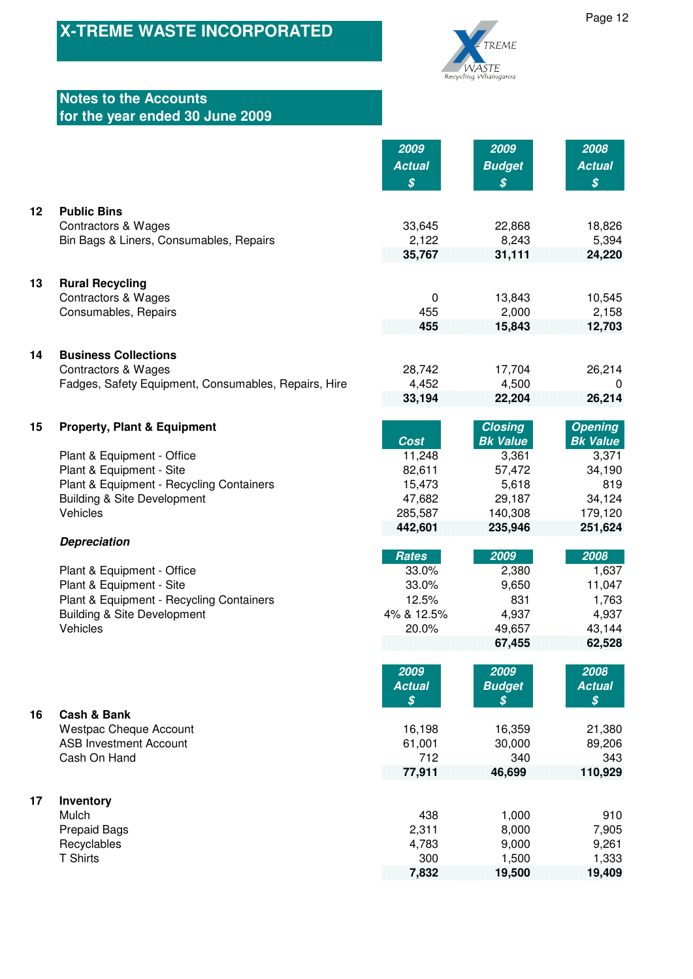

# **Notes to the Accounts for the year ended 30 June 2009**

|         |                                                               | 2009                       | 2009                              | 2008                                        |
|---------|---------------------------------------------------------------|----------------------------|-----------------------------------|---------------------------------------------|
|         |                                                               | <b>Actual</b>              | <b>Budget</b>                     | <b>Actual</b>                               |
|         |                                                               | $\boldsymbol{\mathcal{S}}$ | $\boldsymbol{\mathcal{S}}$        | $\boldsymbol{\mathcal{S}}$                  |
| $12 \,$ | <b>Public Bins</b>                                            |                            |                                   |                                             |
|         | <b>Contractors &amp; Wages</b>                                | 33,645                     | 22,868                            | 18,826                                      |
|         | Bin Bags & Liners, Consumables, Repairs                       | 2,122                      | 8,243                             | 5,394                                       |
|         |                                                               | 35,767                     | 31,111                            | 24,220                                      |
| 13      | <b>Rural Recycling</b>                                        |                            |                                   |                                             |
|         | <b>Contractors &amp; Wages</b>                                | 0                          | 13,843                            | 10,545                                      |
|         | Consumables, Repairs                                          | 455                        | 2,000                             | 2,158                                       |
|         |                                                               | 455                        | 15,843                            | 12,703                                      |
|         |                                                               |                            |                                   |                                             |
| 14      | <b>Business Collections</b><br><b>Contractors &amp; Wages</b> | 28,742                     | 17,704                            | 26,214                                      |
|         | Fadges, Safety Equipment, Consumables, Repairs, Hire          | 4,452                      | 4,500                             | $\Omega$                                    |
|         |                                                               | 33,194                     | 22,204                            | 26,214                                      |
|         |                                                               |                            |                                   |                                             |
| 15      | <b>Property, Plant &amp; Equipment</b>                        | <b>Cost</b>                | <b>Closing</b><br><b>Bk Value</b> | <b>Opening</b><br><b>Bk Value</b>           |
|         | Plant & Equipment - Office                                    | 11,248                     | 3,361                             | 3,371                                       |
|         | Plant & Equipment - Site                                      | 82,611                     | 57,472                            | 34,190                                      |
|         | Plant & Equipment - Recycling Containers                      | 15,473                     | 5,618                             | 819                                         |
|         | <b>Building &amp; Site Development</b>                        | 47,682                     | 29,187                            | 34,124                                      |
|         | Vehicles                                                      | 285,587                    | 140,308                           | 179,120                                     |
|         | <b>Depreciation</b>                                           | 442,601                    | 235,946                           | 251,624                                     |
|         |                                                               | <b>Rates</b>               | 2009                              | 2008                                        |
|         | Plant & Equipment - Office                                    | 33.0%                      | 2,380                             | 1,637                                       |
|         | Plant & Equipment - Site                                      | 33.0%                      | 9,650                             | 11,047                                      |
|         | Plant & Equipment - Recycling Containers                      | 12.5%                      | 831                               | 1,763                                       |
|         | <b>Building &amp; Site Development</b><br>Vehicles            | 4% & 12.5%                 | 4,937                             | 4,937                                       |
|         |                                                               | 20.0%                      | 49,657<br>67,455                  | 43,144<br>62,528                            |
|         |                                                               |                            |                                   |                                             |
|         |                                                               | 2009                       | 2009                              | 2008                                        |
|         |                                                               | <b>Actual</b><br>\$        | <b>Budget</b>                     | <b>Actual</b><br>$\boldsymbol{\mathcal{S}}$ |
| 16      | <b>Cash &amp; Bank</b>                                        |                            | \$                                |                                             |
|         | <b>Westpac Cheque Account</b>                                 | 16,198                     | 16,359                            | 21,380                                      |
|         | <b>ASB Investment Account</b>                                 | 61,001                     | 30,000                            | 89,206                                      |
|         | Cash On Hand                                                  | 712                        | 340                               | 343                                         |
|         |                                                               | 77,911                     | 46,699                            | 110,929                                     |
| 17      | Inventory                                                     |                            |                                   |                                             |
|         | Mulch                                                         | 438                        | 1,000                             | 910                                         |
|         | <b>Prepaid Bags</b>                                           | 2,311                      | 8,000                             | 7,905                                       |
|         | Recyclables                                                   | 4,783                      | 9,000                             | 9,261                                       |
|         | <b>T Shirts</b>                                               | 300                        | 1,500                             | 1,333                                       |
|         |                                                               | 7,832                      | 19,500                            | 19,409                                      |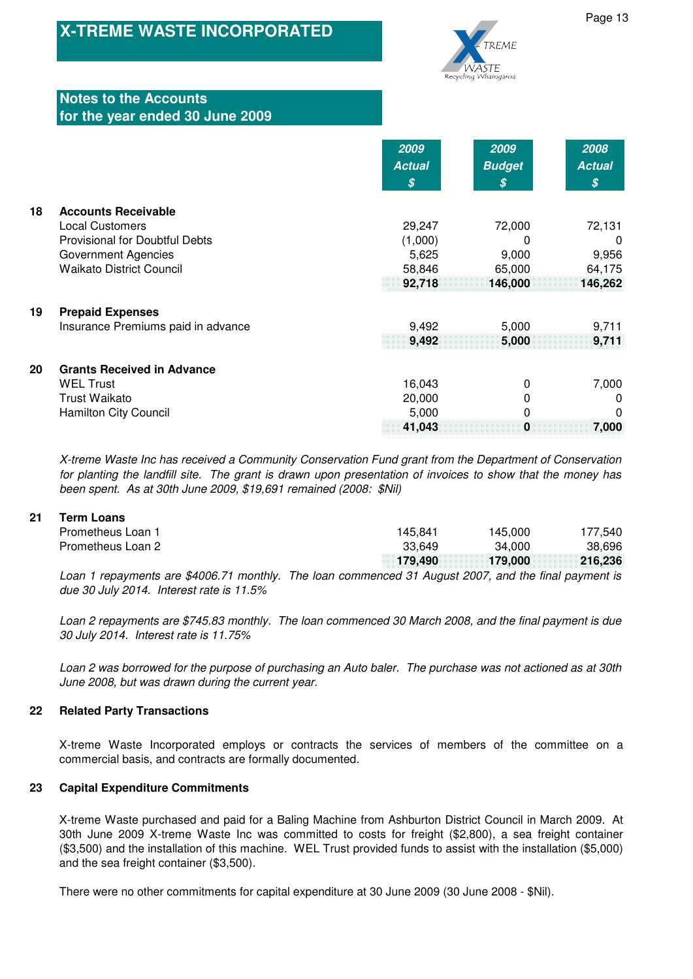

# **Notes to the Accounts for the year ended 30 June 2009**

|    |                                       | 2009          | 2009          | 2008          |
|----|---------------------------------------|---------------|---------------|---------------|
|    |                                       | <b>Actual</b> | <b>Budget</b> | <b>Actual</b> |
|    |                                       | S             | \$            | S             |
| 18 | <b>Accounts Receivable</b>            |               |               |               |
|    | <b>Local Customers</b>                | 29,247        | 72,000        | 72,131        |
|    | <b>Provisional for Doubtful Debts</b> | (1,000)       | 0             | $\Omega$      |
|    | <b>Government Agencies</b>            | 5,625         | 9,000         | 9,956         |
|    | <b>Waikato District Council</b>       | 58,846        | 65,000        | 64,175        |
|    |                                       | 92,718        | 146,000       | 146,262       |
|    |                                       |               |               |               |
| 19 | <b>Prepaid Expenses</b>               |               |               |               |
|    | Insurance Premiums paid in advance    | 9,492         | 5,000         | 9,711         |
|    |                                       | 9,492         | 5,000         | 9,711         |
| 20 | <b>Grants Received in Advance</b>     |               |               |               |
|    | <b>WEL Trust</b>                      | 16,043        | 0             | 7,000         |
|    | Trust Waikato                         | 20,000        | 0             | 0             |
|    | <b>Hamilton City Council</b>          | 5,000         | 0             | 0             |
|    |                                       | 41,043        | 0             | 7,000         |

X-treme Waste Inc has received a Community Conservation Fund grant from the Department of Conservation for planting the landfill site. The grant is drawn upon presentation of invoices to show that the money has been spent. As at 30th June 2009, \$19,691 remained (2008: \$Nil)

## **21 Term Loans**

| Prometheus Loan 1                                                                                      | 145.841 | 145.000                 | 177.540 |
|--------------------------------------------------------------------------------------------------------|---------|-------------------------|---------|
| Prometheus Loan 2                                                                                      | 33.649  | 34.000                  | 38.696  |
|                                                                                                        |         | 179.490 179.000 216.236 |         |
| Loop 1 repayments are $0.006, 71$ menthly. The leap commenced 21 Avayet 2007, and the final poyment is |         |                         |         |

Loan 1 repayments are \$4006.71 monthly. The loan commenced 31 August 2007, and the final payment is due 30 July 2014. Interest rate is 11.5%

Loan 2 repayments are \$745.83 monthly. The loan commenced 30 March 2008, and the final payment is due 30 July 2014. Interest rate is 11.75%

Loan 2 was borrowed for the purpose of purchasing an Auto baler. The purchase was not actioned as at 30th June 2008, but was drawn during the current year.

### **22 Related Party Transactions**

X-treme Waste Incorporated employs or contracts the services of members of the committee on a commercial basis, and contracts are formally documented.

### **23 Capital Expenditure Commitments**

X-treme Waste purchased and paid for a Baling Machine from Ashburton District Council in March 2009. At 30th June 2009 X-treme Waste Inc was committed to costs for freight (\$2,800), a sea freight container (\$3,500) and the installation of this machine. WEL Trust provided funds to assist with the installation (\$5,000) and the sea freight container (\$3,500).

There were no other commitments for capital expenditure at 30 June 2009 (30 June 2008 - \$Nil).